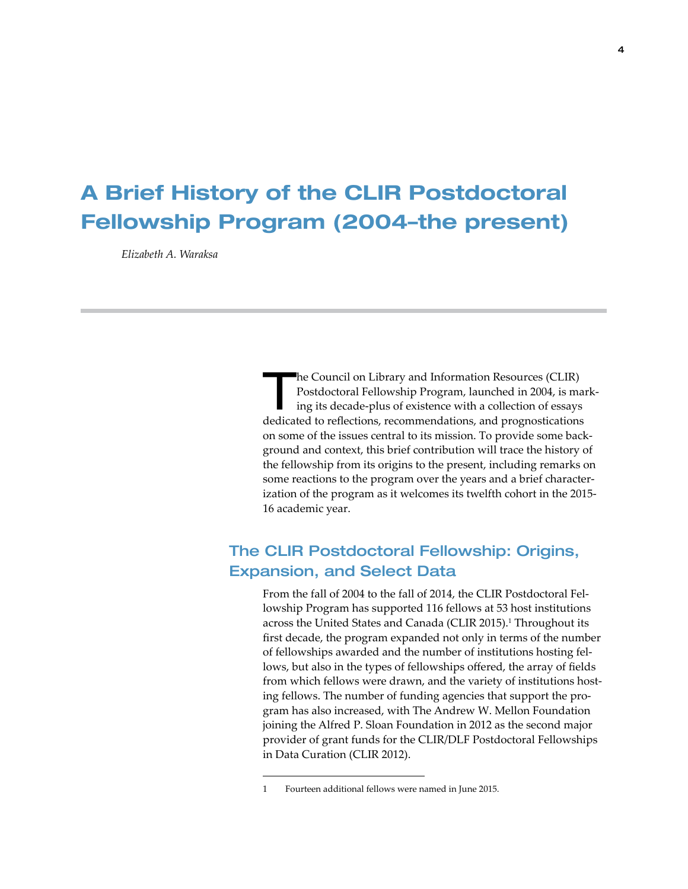# A Brief History of the CLIR Postdoctoral Fellowship Program (2004–the present)

*Elizabeth A. Waraksa*

The Council on Library and Information Resources (CLIR)<br>Postdoctoral Fellowship Program, launched in 2004, is may ing its decade-plus of existence with a collection of essays Postdoctoral Fellowship Program, launched in 2004, is marking its decade-plus of existence with a collection of essays dedicated to reflections, recommendations, and prognostications on some of the issues central to its mission. To provide some background and context, this brief contribution will trace the history of the fellowship from its origins to the present, including remarks on some reactions to the program over the years and a brief characterization of the program as it welcomes its twelfth cohort in the 2015- 16 academic year.

## The CLIR Postdoctoral Fellowship: Origins, Expansion, and Select Data

From the fall of 2004 to the fall of 2014, the CLIR Postdoctoral Fellowship Program has supported 116 fellows at 53 host institutions across the United States and Canada (CLIR 2015).<sup>1</sup> Throughout its first decade, the program expanded not only in terms of the number of fellowships awarded and the number of institutions hosting fellows, but also in the types of fellowships offered, the array of fields from which fellows were drawn, and the variety of institutions hosting fellows. The number of funding agencies that support the program has also increased, with The Andrew W. Mellon Foundation joining the Alfred P. Sloan Foundation in 2012 as the second major provider of grant funds for the CLIR/DLF Postdoctoral Fellowships in Data Curation (CLIR 2012).

<sup>1</sup> Fourteen additional fellows were named in June 2015.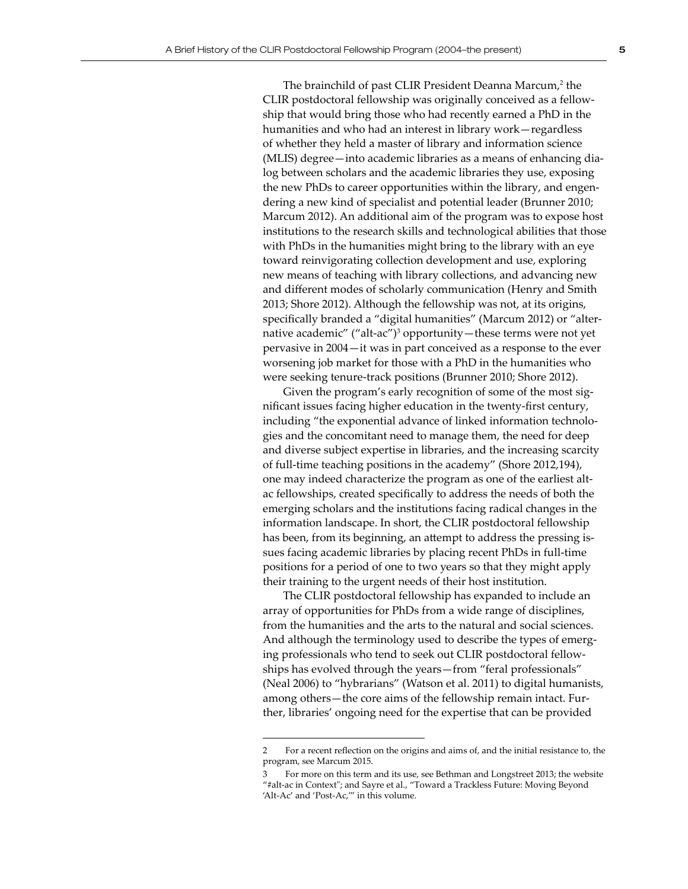The brainchild of past CLIR President Deanna Marcum,<sup>2</sup> the CLIR postdoctoral fellowship was originally conceived as a fellowship that would bring those who had recently earned a PhD in the humanities and who had an interest in library work—regardless of whether they held a master of library and information science (MLIS) degree—into academic libraries as a means of enhancing dialog between scholars and the academic libraries they use, exposing the new PhDs to career opportunities within the library, and engendering a new kind of specialist and potential leader (Brunner 2010; Marcum 2012). An additional aim of the program was to expose host institutions to the research skills and technological abilities that those with PhDs in the humanities might bring to the library with an eye toward reinvigorating collection development and use, exploring new means of teaching with library collections, and advancing new and different modes of scholarly communication (Henry and Smith 2013; Shore 2012). Although the fellowship was not, at its origins, specifically branded a "digital humanities" (Marcum 2012) or "alternative academic" ("alt-ac")<sup>3</sup> opportunity—these terms were not yet pervasive in 2004—it was in part conceived as a response to the ever worsening job market for those with a PhD in the humanities who were seeking tenure-track positions (Brunner 2010; Shore 2012).

Given the program's early recognition of some of the most significant issues facing higher education in the twenty-first century, including "the exponential advance of linked information technologies and the concomitant need to manage them, the need for deep and diverse subject expertise in libraries, and the increasing scarcity of full-time teaching positions in the academy" (Shore 2012,194), one may indeed characterize the program as one of the earliest altac fellowships, created specifically to address the needs of both the emerging scholars and the institutions facing radical changes in the information landscape. In short, the CLIR postdoctoral fellowship has been, from its beginning, an attempt to address the pressing issues facing academic libraries by placing recent PhDs in full-time positions for a period of one to two years so that they might apply their training to the urgent needs of their host institution.

The CLIR postdoctoral fellowship has expanded to include an array of opportunities for PhDs from a wide range of disciplines, from the humanities and the arts to the natural and social sciences. And although the terminology used to describe the types of emerging professionals who tend to seek out CLIR postdoctoral fellowships has evolved through the years—from "feral professionals" (Neal 2006) to "hybrarians" (Watson et al. 2011) to digital humanists, among others—the core aims of the fellowship remain intact. Further, libraries' ongoing need for the expertise that can be provided

<sup>2</sup> For a recent reflection on the origins and aims of, and the initial resistance to, the program, see Marcum 2015.

<sup>3</sup> For more on this term and its use, see Bethman and Longstreet 2013; the website "#alt-ac in Context"; and Sayre et al., "Toward a Trackless Future: Moving Beyond 'Alt-Ac' and 'Post-Ac,'" in this volume.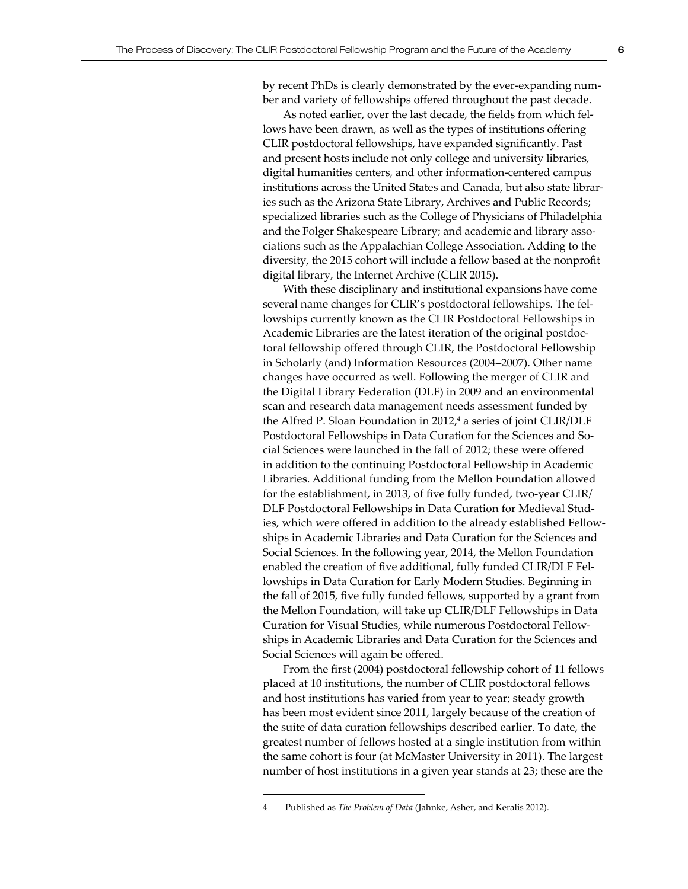As noted earlier, over the last decade, the fields from which fellows have been drawn, as well as the types of institutions offering CLIR postdoctoral fellowships, have expanded significantly. Past and present hosts include not only college and university libraries, digital humanities centers, and other information-centered campus institutions across the United States and Canada, but also state libraries such as the Arizona State Library, Archives and Public Records; specialized libraries such as the College of Physicians of Philadelphia and the Folger Shakespeare Library; and academic and library associations such as the Appalachian College Association. Adding to the diversity, the 2015 cohort will include a fellow based at the nonprofit digital library, the Internet Archive (CLIR 2015).

With these disciplinary and institutional expansions have come several name changes for CLIR's postdoctoral fellowships. The fellowships currently known as the CLIR Postdoctoral Fellowships in Academic Libraries are the latest iteration of the original postdoctoral fellowship offered through CLIR, the Postdoctoral Fellowship in Scholarly (and) Information Resources (2004–2007). Other name changes have occurred as well. Following the merger of CLIR and the Digital Library Federation (DLF) in 2009 and an environmental scan and research data management needs assessment funded by the Alfred P. Sloan Foundation in 2012,<sup>4</sup> a series of joint CLIR/DLF Postdoctoral Fellowships in Data Curation for the Sciences and Social Sciences were launched in the fall of 2012; these were offered in addition to the continuing Postdoctoral Fellowship in Academic Libraries. Additional funding from the Mellon Foundation allowed for the establishment, in 2013, of five fully funded, two-year CLIR/ DLF Postdoctoral Fellowships in Data Curation for Medieval Studies, which were offered in addition to the already established Fellowships in Academic Libraries and Data Curation for the Sciences and Social Sciences. In the following year, 2014, the Mellon Foundation enabled the creation of five additional, fully funded CLIR/DLF Fellowships in Data Curation for Early Modern Studies. Beginning in the fall of 2015, five fully funded fellows, supported by a grant from the Mellon Foundation, will take up CLIR/DLF Fellowships in Data Curation for Visual Studies, while numerous Postdoctoral Fellowships in Academic Libraries and Data Curation for the Sciences and Social Sciences will again be offered.

From the first (2004) postdoctoral fellowship cohort of 11 fellows placed at 10 institutions, the number of CLIR postdoctoral fellows and host institutions has varied from year to year; steady growth has been most evident since 2011, largely because of the creation of the suite of data curation fellowships described earlier. To date, the greatest number of fellows hosted at a single institution from within the same cohort is four (at McMaster University in 2011). The largest number of host institutions in a given year stands at 23; these are the

<sup>4</sup> Published as *The Problem of Data* (Jahnke, Asher, and Keralis 2012).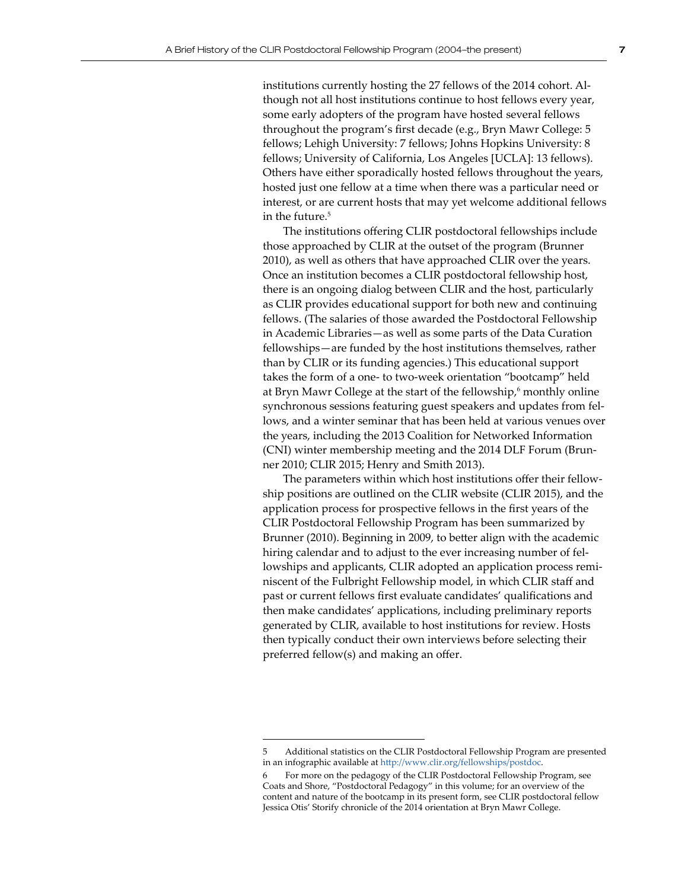institutions currently hosting the 27 fellows of the 2014 cohort. Although not all host institutions continue to host fellows every year, some early adopters of the program have hosted several fellows throughout the program's first decade (e.g., Bryn Mawr College: 5 fellows; Lehigh University: 7 fellows; Johns Hopkins University: 8 fellows; University of California, Los Angeles [UCLA]: 13 fellows). Others have either sporadically hosted fellows throughout the years, hosted just one fellow at a time when there was a particular need or interest, or are current hosts that may yet welcome additional fellows in the future.<sup>5</sup>

The institutions offering CLIR postdoctoral fellowships include those approached by CLIR at the outset of the program (Brunner 2010), as well as others that have approached CLIR over the years. Once an institution becomes a CLIR postdoctoral fellowship host, there is an ongoing dialog between CLIR and the host, particularly as CLIR provides educational support for both new and continuing fellows. (The salaries of those awarded the Postdoctoral Fellowship in Academic Libraries—as well as some parts of the Data Curation fellowships—are funded by the host institutions themselves, rather than by CLIR or its funding agencies.) This educational support takes the form of a one- to two-week orientation "bootcamp" held at Bryn Mawr College at the start of the fellowship,<sup>6</sup> monthly online synchronous sessions featuring guest speakers and updates from fellows, and a winter seminar that has been held at various venues over the years, including the 2013 Coalition for Networked Information (CNI) winter membership meeting and the 2014 DLF Forum (Brunner 2010; CLIR 2015; Henry and Smith 2013).

The parameters within which host institutions offer their fellowship positions are outlined on the CLIR website (CLIR 2015), and the application process for prospective fellows in the first years of the CLIR Postdoctoral Fellowship Program has been summarized by Brunner (2010). Beginning in 2009, to better align with the academic hiring calendar and to adjust to the ever increasing number of fellowships and applicants, CLIR adopted an application process reminiscent of the Fulbright Fellowship model, in which CLIR staff and past or current fellows first evaluate candidates' qualifications and then make candidates' applications, including preliminary reports generated by CLIR, available to host institutions for review. Hosts then typically conduct their own interviews before selecting their preferred fellow(s) and making an offer.

<sup>5</sup> Additional statistics on the CLIR Postdoctoral Fellowship Program are presented in an infographic available at <http://www.clir.org/fellowships/postdoc>.

For more on the pedagogy of the CLIR Postdoctoral Fellowship Program, see Coats and Shore, "Postdoctoral Pedagogy" in this volume; for an overview of the content and nature of the bootcamp in its present form, see CLIR postdoctoral fellow Jessica Otis' Storify chronicle of the 2014 orientation at Bryn Mawr College.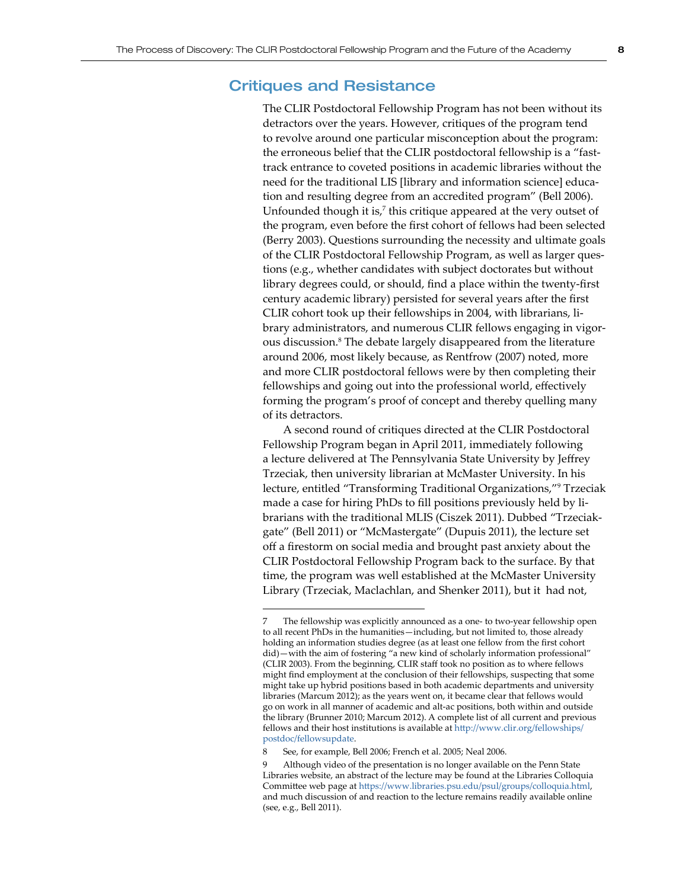### Critiques and Resistance

The CLIR Postdoctoral Fellowship Program has not been without its detractors over the years. However, critiques of the program tend to revolve around one particular misconception about the program: the erroneous belief that the CLIR postdoctoral fellowship is a "fasttrack entrance to coveted positions in academic libraries without the need for the traditional LIS [library and information science] education and resulting degree from an accredited program" (Bell 2006). Unfounded though it is, $<sup>7</sup>$  this critique appeared at the very outset of</sup> the program, even before the first cohort of fellows had been selected (Berry 2003). Questions surrounding the necessity and ultimate goals of the CLIR Postdoctoral Fellowship Program, as well as larger questions (e.g., whether candidates with subject doctorates but without library degrees could, or should, find a place within the twenty-first century academic library) persisted for several years after the first CLIR cohort took up their fellowships in 2004, with librarians, library administrators, and numerous CLIR fellows engaging in vigorous discussion.<sup>8</sup> The debate largely disappeared from the literature around 2006, most likely because, as Rentfrow (2007) noted, more and more CLIR postdoctoral fellows were by then completing their fellowships and going out into the professional world, effectively forming the program's proof of concept and thereby quelling many of its detractors.

A second round of critiques directed at the CLIR Postdoctoral Fellowship Program began in April 2011, immediately following a lecture delivered at The Pennsylvania State University by Jeffrey Trzeciak, then university librarian at McMaster University. In his lecture, entitled "Transforming Traditional Organizations,"<sup>9</sup> Trzeciak made a case for hiring PhDs to fill positions previously held by librarians with the traditional MLIS (Ciszek 2011). Dubbed "Trzeciakgate" (Bell 2011) or "McMastergate" (Dupuis 2011), the lecture set off a firestorm on social media and brought past anxiety about the CLIR Postdoctoral Fellowship Program back to the surface. By that time, the program was well established at the McMaster University Library (Trzeciak, Maclachlan, and Shenker 2011), but it had not,

8 See, for example, Bell 2006; French et al. 2005; Neal 2006.

The fellowship was explicitly announced as a one- to two-year fellowship open to all recent PhDs in the humanities—including, but not limited to, those already holding an information studies degree (as at least one fellow from the first cohort did)—with the aim of fostering "a new kind of scholarly information professional" (CLIR 2003). From the beginning, CLIR staff took no position as to where fellows might find employment at the conclusion of their fellowships, suspecting that some might take up hybrid positions based in both academic departments and university libraries (Marcum 2012); as the years went on, it became clear that fellows would go on work in all manner of academic and alt-ac positions, both within and outside the library (Brunner 2010; Marcum 2012). A complete list of all current and previous fellows and their host institutions is available at [http://www.clir.org/fellowships/](http://www.clir.org/fellowships/postdoc/fellowsupdate) [postdoc/fellowsupdate](http://www.clir.org/fellowships/postdoc/fellowsupdate).

Although video of the presentation is no longer available on the Penn State Libraries website, an abstract of the lecture may be found at the Libraries Colloquia Committee web page at <https://www.libraries.psu.edu/psul/groups/colloquia.html>, and much discussion of and reaction to the lecture remains readily available online (see, e.g., Bell 2011).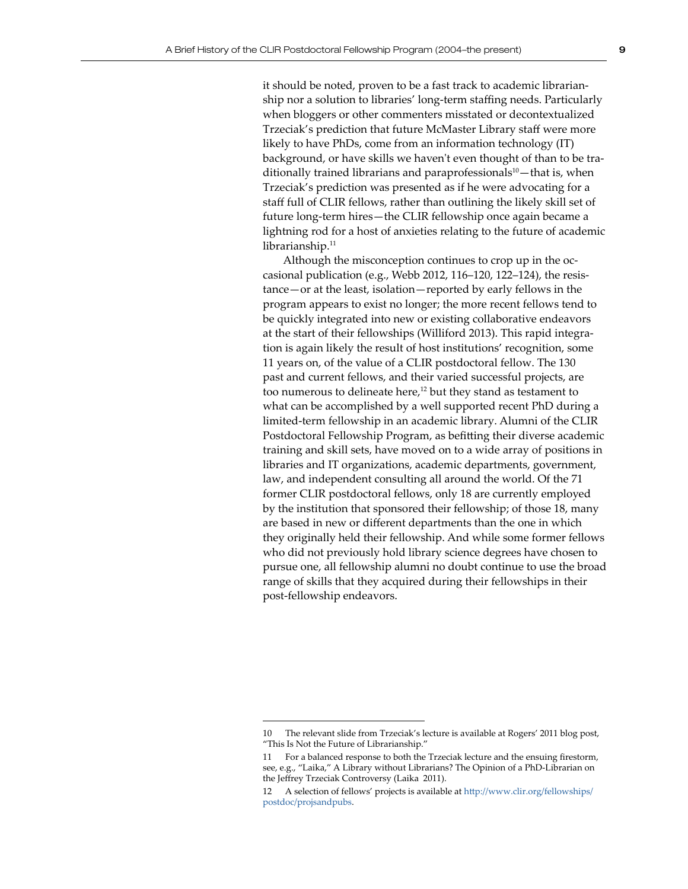it should be noted, proven to be a fast track to academic librarianship nor a solution to libraries' long-term staffing needs. Particularly when bloggers or other commenters misstated or decontextualized Trzeciak's prediction that future McMaster Library staff were more likely to have PhDs, come from an information technology (IT) background, or have skills we haven't even thought of than to be traditionally trained librarians and paraprofessionals $10$  – that is, when Trzeciak's prediction was presented as if he were advocating for a staff full of CLIR fellows, rather than outlining the likely skill set of future long-term hires—the CLIR fellowship once again became a lightning rod for a host of anxieties relating to the future of academic librarianship.<sup>11</sup>

Although the misconception continues to crop up in the occasional publication (e.g., Webb 2012, 116–120, 122–124), the resistance—or at the least, isolation—reported by early fellows in the program appears to exist no longer; the more recent fellows tend to be quickly integrated into new or existing collaborative endeavors at the start of their fellowships (Williford 2013). This rapid integration is again likely the result of host institutions' recognition, some 11 years on, of the value of a CLIR postdoctoral fellow. The 130 past and current fellows, and their varied successful projects, are too numerous to delineate here,<sup>12</sup> but they stand as testament to what can be accomplished by a well supported recent PhD during a limited-term fellowship in an academic library. Alumni of the CLIR Postdoctoral Fellowship Program, as befitting their diverse academic training and skill sets, have moved on to a wide array of positions in libraries and IT organizations, academic departments, government, law, and independent consulting all around the world. Of the 71 former CLIR postdoctoral fellows, only 18 are currently employed by the institution that sponsored their fellowship; of those 18, many are based in new or different departments than the one in which they originally held their fellowship. And while some former fellows who did not previously hold library science degrees have chosen to pursue one, all fellowship alumni no doubt continue to use the broad range of skills that they acquired during their fellowships in their post-fellowship endeavors.

<sup>10</sup> The relevant slide from Trzeciak's lecture is available at Rogers' 2011 blog post, "This Is Not the Future of Librarianship."

<sup>11</sup> For a balanced response to both the Trzeciak lecture and the ensuing firestorm, see, e.g., "Laika," A Library without Librarians? The Opinion of a PhD-Librarian on the Jeffrey Trzeciak Controversy (Laika 2011).

<sup>12</sup> A selection of fellows' projects is available at [http://www.clir.org/fellowships/](http://www.clir.org/fellowships/postdoc/projsandpubs) [postdoc/projsandpubs](http://www.clir.org/fellowships/postdoc/projsandpubs).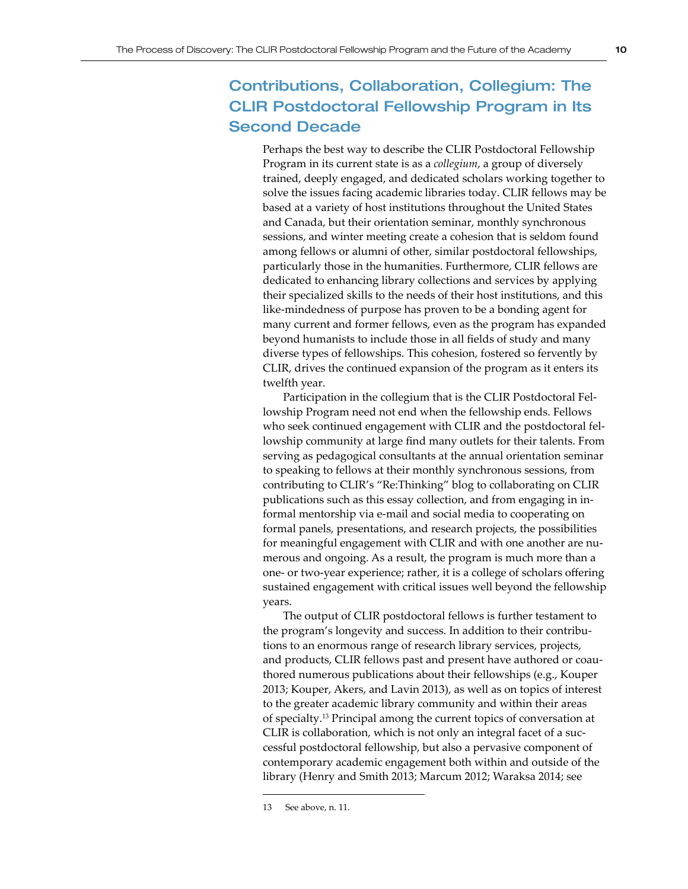## Contributions, Collaboration, Collegium: The CLIR Postdoctoral Fellowship Program in Its Second Decade

Perhaps the best way to describe the CLIR Postdoctoral Fellowship Program in its current state is as a *collegium*, a group of diversely trained, deeply engaged, and dedicated scholars working together to solve the issues facing academic libraries today. CLIR fellows may be based at a variety of host institutions throughout the United States and Canada, but their orientation seminar, monthly synchronous sessions, and winter meeting create a cohesion that is seldom found among fellows or alumni of other, similar postdoctoral fellowships, particularly those in the humanities. Furthermore, CLIR fellows are dedicated to enhancing library collections and services by applying their specialized skills to the needs of their host institutions, and this like-mindedness of purpose has proven to be a bonding agent for many current and former fellows, even as the program has expanded beyond humanists to include those in all fields of study and many diverse types of fellowships. This cohesion, fostered so fervently by CLIR, drives the continued expansion of the program as it enters its twelfth year.

Participation in the collegium that is the CLIR Postdoctoral Fellowship Program need not end when the fellowship ends. Fellows who seek continued engagement with CLIR and the postdoctoral fellowship community at large find many outlets for their talents. From serving as pedagogical consultants at the annual orientation seminar to speaking to fellows at their monthly synchronous sessions, from contributing to CLIR's "Re:Thinking" blog to collaborating on CLIR publications such as this essay collection, and from engaging in informal mentorship via e-mail and social media to cooperating on formal panels, presentations, and research projects, the possibilities for meaningful engagement with CLIR and with one another are numerous and ongoing. As a result, the program is much more than a one- or two-year experience; rather, it is a college of scholars offering sustained engagement with critical issues well beyond the fellowship years.

The output of CLIR postdoctoral fellows is further testament to the program's longevity and success. In addition to their contributions to an enormous range of research library services, projects, and products, CLIR fellows past and present have authored or coauthored numerous publications about their fellowships (e.g., Kouper 2013; Kouper, Akers, and Lavin 2013), as well as on topics of interest to the greater academic library community and within their areas of specialty.<sup>13</sup> Principal among the current topics of conversation at CLIR is collaboration, which is not only an integral facet of a successful postdoctoral fellowship, but also a pervasive component of contemporary academic engagement both within and outside of the library (Henry and Smith 2013; Marcum 2012; Waraksa 2014; see

<sup>13</sup> See above, n. 11.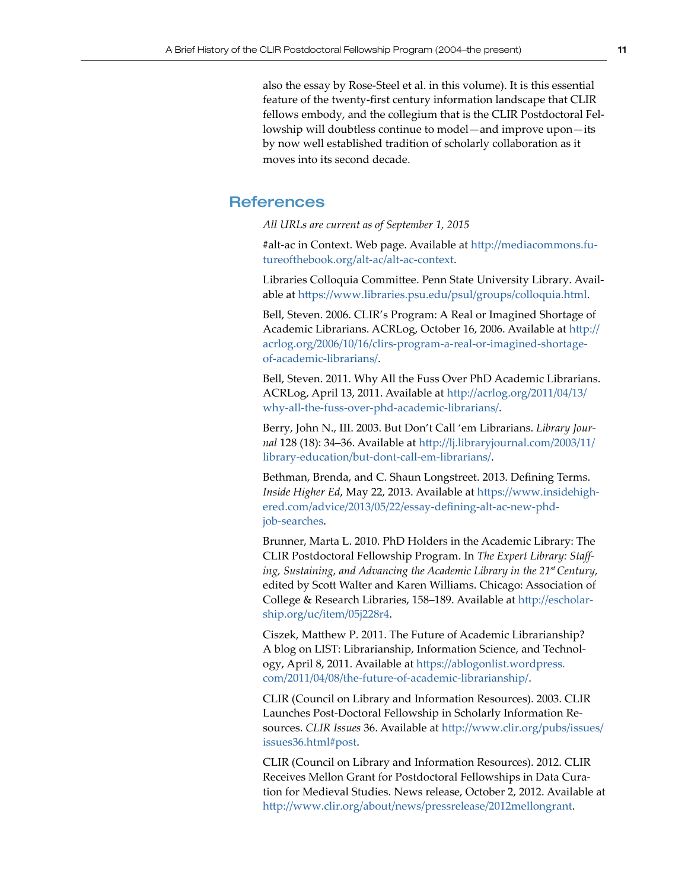also the essay by Rose-Steel et al. in this volume). It is this essential feature of the twenty-first century information landscape that CLIR fellows embody, and the collegium that is the CLIR Postdoctoral Fellowship will doubtless continue to model—and improve upon—its by now well established tradition of scholarly collaboration as it moves into its second decade.

#### **References**

*All URLs are current as of September 1, 2015*

#alt-ac in Context. Web page. Available at [http://mediacommons.fu](http://mediacommons.futureofthebook.org/alt-ac/alt-ac-context)[tureofthebook.org/alt-ac/alt-ac-context](http://mediacommons.futureofthebook.org/alt-ac/alt-ac-context).

Libraries Colloquia Committee. Penn State University Library. Available at <https://www.libraries.psu.edu/psul/groups/colloquia.html>.

Bell, Steven. 2006. CLIR's Program: A Real or Imagined Shortage of Academic Librarians. ACRLog, October 16, 2006. Available at [http://](http://acrlog.org/2006/10/16/clirs-program-a-real-or-imagined-shortage-of-academic-librarians/) [acrlog.org/2006/10/16/clirs-program-a-real-or-imagined-shortage](http://acrlog.org/2006/10/16/clirs-program-a-real-or-imagined-shortage-of-academic-librarians/)[of-academic-librarians/](http://acrlog.org/2006/10/16/clirs-program-a-real-or-imagined-shortage-of-academic-librarians/).

Bell, Steven. 2011. Why All the Fuss Over PhD Academic Librarians. ACRLog, April 13, 2011. Available at [http://acrlog.org/2011/04/13/](http://acrlog.org/2011/04/13/why-all-the-fuss-over-phd-academic-librarians/) [why-all-the-fuss-over-phd-academic-librarians/](http://acrlog.org/2011/04/13/why-all-the-fuss-over-phd-academic-librarians/).

Berry, John N., III. 2003. But Don't Call 'em Librarians. *Library Journal* 128 (18): 34–36. Available at [http://lj.libraryjournal.com/2003/11/](http://lj.libraryjournal.com/2003/11/library-education/but-dont-call-em-librarians/) [library-education/but-dont-call-em-librarians/](http://lj.libraryjournal.com/2003/11/library-education/but-dont-call-em-librarians/).

Bethman, Brenda, and C. Shaun Longstreet. 2013. Defining Terms. *Inside Higher Ed*, May 22, 2013. Available at [https://www.insidehigh](https://www.insidehighered.com/advice/2013/05/22/essay-defining-alt-ac-new-phd-job-searches)[ered.com/advice/2013/05/22/essay-defining-alt-ac-new-phd](https://www.insidehighered.com/advice/2013/05/22/essay-defining-alt-ac-new-phd-job-searches)[job-searches](https://www.insidehighered.com/advice/2013/05/22/essay-defining-alt-ac-new-phd-job-searches).

Brunner, Marta L. 2010. PhD Holders in the Academic Library: The CLIR Postdoctoral Fellowship Program. In *The Expert Library: Staffing, Sustaining, and Advancing the Academic Library in the 21st Century,*  edited by Scott Walter and Karen Williams. Chicago: Association of College & Research Libraries, 158–189. Available at [http://escholar](http://escholarship.org/uc/item/05j228r4)[ship.org/uc/item/05j228r4](http://escholarship.org/uc/item/05j228r4).

Ciszek, Matthew P. 2011. The Future of Academic Librarianship? A blog on LIST: Librarianship, Information Science, and Technology, April 8, 2011. Available at [https://ablogonlist.wordpress.](https://ablogonlist.wordpress.com/2011/04/08/the-future-of-academic-librarianship/) [com/2011/04/08/the-future-of-academic-librarianship/](https://ablogonlist.wordpress.com/2011/04/08/the-future-of-academic-librarianship/).

CLIR (Council on Library and Information Resources). 2003. CLIR Launches Post-Doctoral Fellowship in Scholarly Information Resources. *CLIR Issues* 36. Available at [http://www.clir.org/pubs/issues/](http://www.clir.org/pubs/issues/issues36.html#post) [issues36.html#post](http://www.clir.org/pubs/issues/issues36.html#post).

CLIR (Council on Library and Information Resources). 2012. CLIR Receives Mellon Grant for Postdoctoral Fellowships in Data Curation for Medieval Studies. News release, October 2, 2012. Available at <http://www.clir.org/about/news/pressrelease/2012mellongrant>.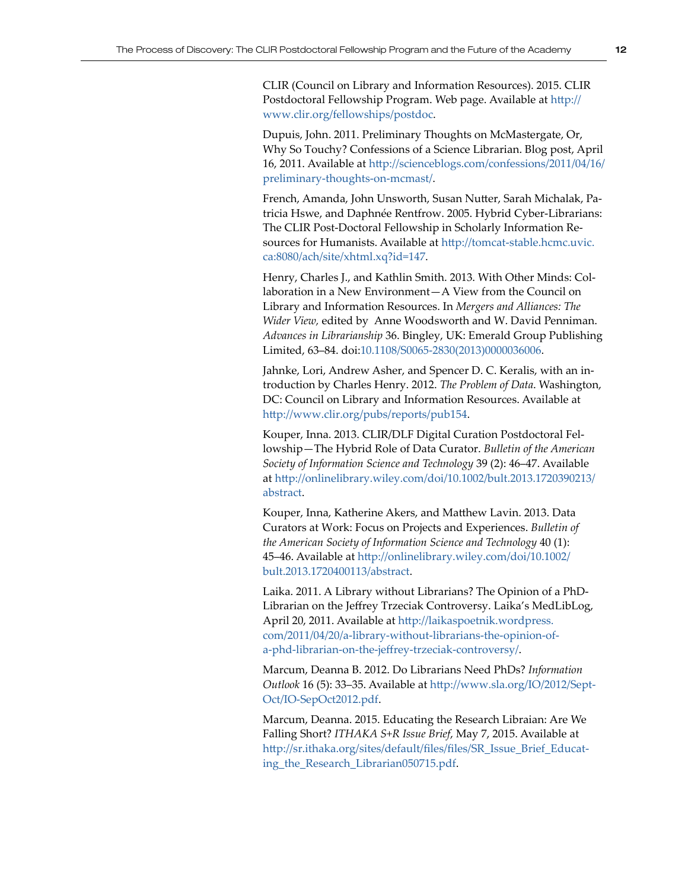CLIR (Council on Library and Information Resources). 2015. CLIR Postdoctoral Fellowship Program. Web page. Available at [http://](http://www.clir.org/fellowships/postdoc) [www.clir.org/fellowships/postdoc](http://www.clir.org/fellowships/postdoc).

Dupuis, John. 2011. Preliminary Thoughts on McMastergate, Or, Why So Touchy? Confessions of a Science Librarian. Blog post, April 16, 2011. Available at [http://scienceblogs.com/confessions/2011/04/16/](http://scienceblogs.com/confessions/2011/04/16/preliminary-thoughts-on-mcmast/) [preliminary-thoughts-on-mcmast/](http://scienceblogs.com/confessions/2011/04/16/preliminary-thoughts-on-mcmast/).

French, Amanda, John Unsworth, Susan Nutter, Sarah Michalak, Patricia Hswe, and Daphnée Rentfrow. 2005. Hybrid Cyber-Librarians: The CLIR Post-Doctoral Fellowship in Scholarly Information Resources for Humanists. Available at [http://tomcat-stable.hcmc.uvic.](http://tomcat-stable.hcmc.uvic.ca:8080/ach/site/xhtml.xq?id=147) [ca:8080/ach/site/xhtml.xq?id=147](http://tomcat-stable.hcmc.uvic.ca:8080/ach/site/xhtml.xq?id=147).

Henry, Charles J., and Kathlin Smith. 2013. With Other Minds: Collaboration in a New Environment—A View from the Council on Library and Information Resources. In *Mergers and Alliances: The Wider View,* edited by Anne Woodsworth and W. David Penniman. *Advances in Librarianship* 36. Bingley, UK: Emerald Group Publishing Limited, 63–84. doi:[10.1108/S0065-2830\(2013\)0000036006](http://dx.doi.org/10.1108/S0065-2830%282013%290000036006).

Jahnke, Lori, Andrew Asher, and Spencer D. C. Keralis, with an introduction by Charles Henry. 2012. *The Problem of Data*. Washington, DC: Council on Library and Information Resources. Available at <http://www.clir.org/pubs/reports/pub154>.

Kouper, Inna. 2013. CLIR/DLF Digital Curation Postdoctoral Fellowship—The Hybrid Role of Data Curator. *Bulletin of the American Society of Information Science and Technology* 39 (2): 46–47. Available at [http://onlinelibrary.wiley.com/doi/10.1002/bult.2013.1720390213/](http://onlinelibrary.wiley.com/doi/10.1002/bult.2013.1720390213/abstract) [abstract](http://onlinelibrary.wiley.com/doi/10.1002/bult.2013.1720390213/abstract).

Kouper, Inna, Katherine Akers, and Matthew Lavin. 2013. Data Curators at Work: Focus on Projects and Experiences. *Bulletin of the American Society of Information Science and Technology* 40 (1): 45–46. Available at [http://onlinelibrary.wiley.com/doi/10.1002/](http://onlinelibrary.wiley.com/doi/10.1002/bult.2013.1720400113/abstract) [bult.2013.1720400113/abstract](http://onlinelibrary.wiley.com/doi/10.1002/bult.2013.1720400113/abstract).

Laika. 2011. A Library without Librarians? The Opinion of a PhD-Librarian on the Jeffrey Trzeciak Controversy. Laika's MedLibLog, April 20, 2011. Available at [http://laikaspoetnik.wordpress.](http://laikaspoetnik.wordpress.com/2011/04/20/a-library-without-librarians-the-opinion-of-a-phd-librarian-on-the-jeffrey-trzeciak-controversy/) [com/2011/04/20/a-library-without-librarians-the-opinion-of](http://laikaspoetnik.wordpress.com/2011/04/20/a-library-without-librarians-the-opinion-of-a-phd-librarian-on-the-jeffrey-trzeciak-controversy/)[a-phd-librarian-on-the-jeffrey-trzeciak-controversy/](http://laikaspoetnik.wordpress.com/2011/04/20/a-library-without-librarians-the-opinion-of-a-phd-librarian-on-the-jeffrey-trzeciak-controversy/).

Marcum, Deanna B. 2012. Do Librarians Need PhDs? *Information Outlook* 16 (5): 33–35. Available at [http://www.sla.org/IO/2012/Sept-](http://www.sla.org/IO/2012/Sept-Oct/IO-SepOct2012.pdf)[Oct/IO-SepOct2012.pdf](http://www.sla.org/IO/2012/Sept-Oct/IO-SepOct2012.pdf).

Marcum, Deanna. 2015. Educating the Research Libraian: Are We Falling Short? *ITHAKA S+R Issue Brief*, May 7, 2015. Available at [http://sr.ithaka.org/sites/default/files/files/SR\\_Issue\\_Brief\\_Educat](http://sr.ithaka.org/sites/default/files/files/SR_Issue_Brief_Educating_the_Research_Librarian050715.pdf)[ing\\_the\\_Research\\_Librarian050715.pdf](http://sr.ithaka.org/sites/default/files/files/SR_Issue_Brief_Educating_the_Research_Librarian050715.pdf).